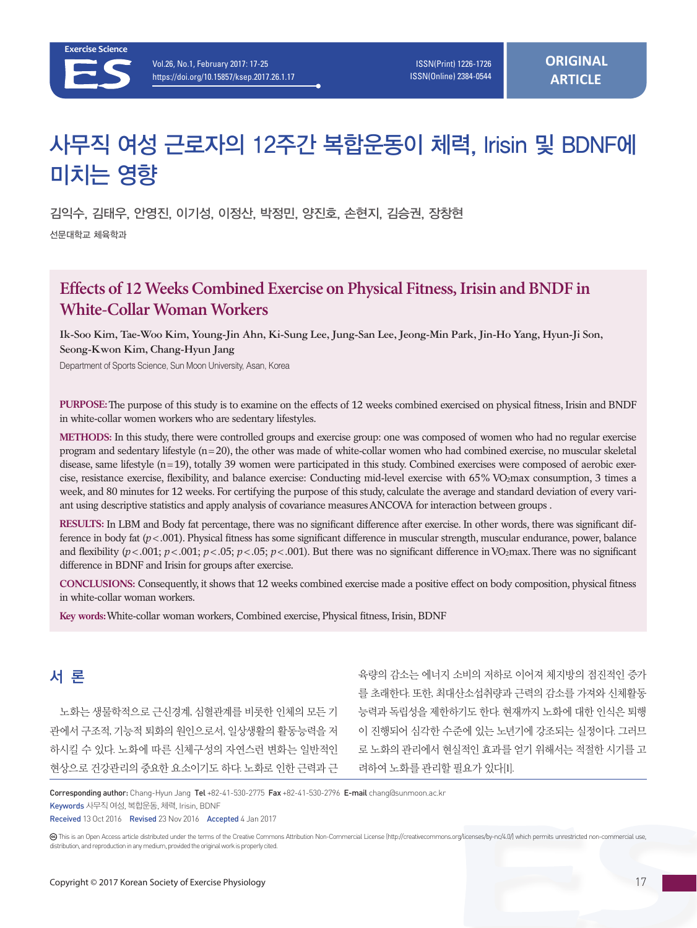# 사무직 여성 근로자의 12주간 복합운동이 체력, Irisin 및 BDNF에 미치는 영향

김익수, 김태우, 안영진, 이기성, 이정산, 박정민, 양진호, 손현지, 김승권, 장창현 선문대학교 체육학과

# **Effects of 12 Weeks Combined Exercise on Physical Fitness, Irisin and BNDF in White-Collar Woman Workers**

**Ik-Soo Kim, Tae-Woo Kim, Young-Jin Ahn, Ki-Sung Lee, Jung-San Lee, Jeong-Min Park, Jin-Ho Yang, Hyun-Ji Son, Seong-Kwon Kim, Chang-Hyun Jang**

Department of Sports Science, Sun Moon University, Asan, Korea

**PURPOSE:** The purpose of this study is to examine on the effects of 12 weeks combined exercised on physical fitness, Irisin and BNDF in white-collar women workers who are sedentary lifestyles.

**METHODS:** In this study, there were controlled groups and exercise group: one was composed of women who had no regular exercise program and sedentary lifestyle (n=20), the other was made of white-collar women who had combined exercise, no muscular skeletal disease, same lifestyle (n=19), totally 39 women were participated in this study. Combined exercises were composed of aerobic exercise, resistance exercise, flexibility, and balance exercise: Conducting mid-level exercise with 65% VO2max consumption, 3 times a week, and 80 minutes for 12 weeks. For certifying the purpose of this study, calculate the average and standard deviation of every variant using descriptive statistics and apply analysis of covariance measures ANCOVA for interaction between groups .

**RESULTS:** In LBM and Body fat percentage, there was no significant difference after exercise. In other words, there was significant difference in body fat ( $p < .001$ ). Physical fitness has some significant difference in muscular strength, muscular endurance, power, balance and flexibility  $(p<.001; p<.001; p<.05; p<.05; p<.001)$ . But there was no significant difference in VO<sub>2</sub>max. There was no significant difference in BDNF and Irisin for groups after exercise.

**CONCLUSIONS:** Consequently, it shows that 12 weeks combined exercise made a positive effect on body composition, physical fitness in white-collar woman workers.

**Key words:** White-collar woman workers, Combined exercise, Physical fitness, Irisin, BDNF

# 서 론

노화는 생물학적으로 근신경계, 심혈관계를 비롯한 인체의 모든 기 관에서 구조적, 기능적 퇴화의 원인으로서, 일상생활의 활동능력을 저 하시킬 수 있다. 노화에 따른 신체구성의 자연스런 변화는 일반적인 현상으로 건강관리의 중요한 요소이기도 하다. 노화로 인한 근력과 근

육량의 감소는 에너지 소비의 저하로 이어져 체지방의 점진적인 증가 를 초래한다. 또한, 최대산소섭취량과 근력의 감소를 가져와 신체활동 능력과 독립성을 제한하기도 한다. 현재까지 노화에 대한 인식은 퇴행 이 진행되어 심각한 수준에 있는 노년기에 강조되는 실정이다. 그러므 로 노화의 관리에서 현실적인 효과를 얻기 위해서는 적절한 시기를 고 려하여 노화를 관리할 필요가 있다[1].

Corresponding author: Chang-Hyun Jang Tel +82-41-530-2775 Fax +82-41-530-2796 E-mail chang@sunmoon.ac.kr

Keywords 사무직 여성, 복합운동, 체력, Irisin, BDNF

Received 13 Oct 2016 Revised 23 Nov 2016 Accepted 4 Jan 2017

 This is an Open Access article distributed under the terms of the Creative Commons Attribution Non-Commercial License (http://creativecommons.org/licenses/by-nc/4.0/) which permits unrestricted non-commercial use, distribution, and reproduction in any medium, provided the original work is properly cited.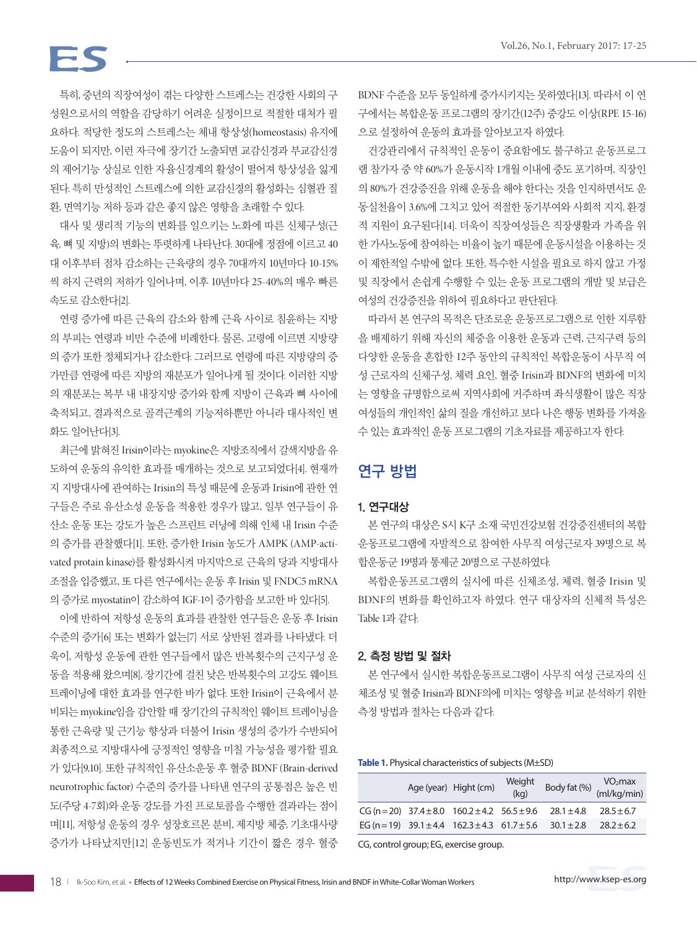# FS

특히, 중년의 직장여성이 겪는 다양한 스트레스는 건강한 사회의 구 성원으로서의 역할을 감당하기 어려운 실정이므로 적절한 대처가 필 요하다. 적당한 정도의 스트레스는 체내 항상성(homeostasis) 유지에 도움이 되지만, 이런 자극에 장기간 노출되면 교감신경과 부교감신경 의 제어기능 상실로 인한 자율신경계의 활성이 떨어져 항상성을 잃게 된다. 특히 만성적인 스트레스에 의한 교감신경의 활성화는 심혈관 질 환, 면역기능 저하 등과 같은 좋지 않은 영향을 초래할 수 있다.

대사 및 생리적 기능의 변화를 일으키는 노화에 따른 신체구성(근 육, 뼈 및 지방)의 변화는 뚜렷하게 나타난다. 30대에 정점에 이르고 40 대 이후부터 점차 감소하는 근육량의 경우 70대까지 10년마다 10-15% 씩 하지 근력의 저하가 일어나며, 이후 10년마다 25-40%의 매우 빠른 속도로 감소한다[2].

연령 증가에 따른 근육의 감소와 함께 근육 사이로 침윤하는 지방 의 부피는 연령과 비만 수준에 비례한다. 물론, 고령에 이르면 지방량 의 증가 또한 정체되거나 감소한다. 그러므로 연령에 따른 지방량의 증 가만큼 연령에 따른 지방의 재분포가 일어나게 될 것이다. 이러한 지방 의 재분포는 복부 내 내장지방 증가와 함께 지방이 근육과 뼈 사이에 축적되고, 결과적으로 골격근계의 기능저하뿐만 아니라 대사적인 변 화도 일어난다[3].

최근에 밝혀진 Irisin이라는 myokine은 지방조직에서 갈색지방을 유 도하여 운동의 유익한 효과를 매개하는 것으로 보고되었다[4]. 현재까 지 지방대사에 관여하는 Irisin의 특성 때문에 운동과 Irisin에 관한 연 구들은 주로 유산소성 운동을 적용한 경우가 많고, 일부 연구들이 유 산소 운동 또는 강도가 높은 스프린트 러닝에 의해 인체 내 Irisin 수준 의 증가를 관찰했다[1]. 또한, 증가한 Irisin 농도가 AMPK (AMP-activated protain kinase)를 활성화시켜 마지막으로 근육의 당과 지방대사 조절을 입증했고, 또 다른 연구에서는 운동 후 Irisin 및 FNDC5 mRNA 의 증가로 myostatin이 감소하여 IGF-1이 증가함을 보고한 바 있다[5].

이에 반하여 저항성 운동의 효과를 관찰한 연구들은 운동 후 Irisin 수준의 증가[6] 또는 변화가 없는[7] 서로 상반된 결과를 나타냈다. 더 욱이, 저항성 운동에 관한 연구들에서 많은 반복횟수의 근지구성 운 동을 적용해 왔으며[8], 장기간에 걸친 낮은 반복횟수의 고강도 웨이트 트레이닝에 대한 효과를 연구한 바가 없다. 또한 Irisin이 근육에서 분 비되는 myokine임을 감안할 때 장기간의 규칙적인 웨이트 트레이닝을 통한 근육량 및 근기능 향상과 더불어 Irisin 생성의 증가가 수반되어 최종적으로 지방대사에 긍정적인 영향을 미칠 가능성을 평가할 필요 가 있다[9,10]. 또한 규칙적인 유산소운동 후 혈중 BDNF (Brain-derived neurotrophic factor) 수준의 증가를 나타낸 연구의 공통점은 높은 빈 도(주당 4-7회)와 운동 강도를 가진 프로토콜을 수행한 결과라는 점이 며[11], 저항성 운동의 경우 성장호르몬 분비, 제지방 체중, 기초대사량 증가가 나타났지만[12] 운동빈도가 적거나 기간이 짧은 경우 혈중

BDNF 수준을 모두 동일하게 증가시키지는 못하였다[13]. 따라서 이 연 구에서는 복합운동 프로그램의 장기간(12주) 중강도 이상(RPE 15-16) 으로 설정하여 운동의 효과를 알아보고자 하였다.

건강관리에서 규칙적인 운동이 중요함에도 불구하고 운동프로그 램 참가자 중 약 60%가 운동시작 1개월 이내에 중도 포기하며, 직장인 의 80%가 건강증진을 위해 운동을 해야 한다는 것을 인지하면서도 운 동실천율이 3.6%에 그치고 있어 적절한 동기부여와 사회적 지지, 환경 적 지원이 요구된다[14]. 더욱이 직장여성들은 직장생활과 가족을 위 한 가사노동에 참여하는 비율이 높기 때문에 운동시설을 이용하는 것 이 제한적일 수밖에 없다. 또한, 특수한 시설을 필요로 하지 않고 가정 및 직장에서 손쉽게 수행할 수 있는 운동 프로그램의 개발 및 보급은 여성의 건강증진을 위하여 필요하다고 판단된다.

따라서 본 연구의 목적은 단조로운 운동프로그램으로 인한 지루함 을 배제하기 위해 자신의 체중을 이용한 운동과 근력, 근지구력 등의 다양한 운동을 혼합한 12주 동안의 규칙적인 복합운동이 사무직 여 성 근로자의 신체구성, 체력 요인, 혈중 Irisin과 BDNF의 변화에 미치 는 영향을 규명함으로써 지역사회에 거주하며 좌식생활이 많은 직장 여성들의 개인적인 삶의 질을 개선하고 보다 나은 행동 변화를 가져올 수 있는 효과적인 운동 프로그램의 기초자료를 제공하고자 한다.

## 연구 방법

### 1. 연구대상

본 연구의 대상은 S시 K구 소재 국민건강보험 건강증진센터의 복합 운동프로그램에 자발적으로 참여한 사무직 여성근로자 39명으로 복 합운동군 19명과 통제군 20명으로 구분하였다.

복합운동프로그램의 실시에 따른 신체조성, 체력, 혈중 Irisin 및 BDNF의 변화를 확인하고자 하였다. 연구 대상자의 신체적 특성은 Table 1과 같다.

#### 2. 측정 방법 및 절차

본 연구에서 실시한 복합운동프로그램이 사무직 여성 근로자의 신 체조성 및 혈중 Irisin과 BDNF의에 미치는 영향을 비교 분석하기 위한 측정 방법과 절차는 다음과 같다.

**Table 1.** Physical characteristics of subjects (M±SD)

|  | Age (year) Hight (cm)                                                    | Weight<br>(kq) | $\sqrt{\frac{1}{2} \cdot \frac{1}{2} \cdot \frac{1}{2} \cdot \frac{1}{2}}$ (ml/kg/min) | VO <sub>2</sub> max |
|--|--------------------------------------------------------------------------|----------------|----------------------------------------------------------------------------------------|---------------------|
|  | $CG (n = 20)$ 37.4 ± 8.0 160.2 ± 4.2 56.5 ± 9.6 28.1 ± 4.8               |                |                                                                                        | $28.5 \pm 6.7$      |
|  | EG (n = 19) $39.1 \pm 4.4$ $162.3 \pm 4.3$ $61.7 \pm 5.6$ $30.1 \pm 2.8$ |                |                                                                                        | $28.2 + 6.2$        |
|  |                                                                          |                |                                                                                        |                     |

CG, control group; EG, exercise group.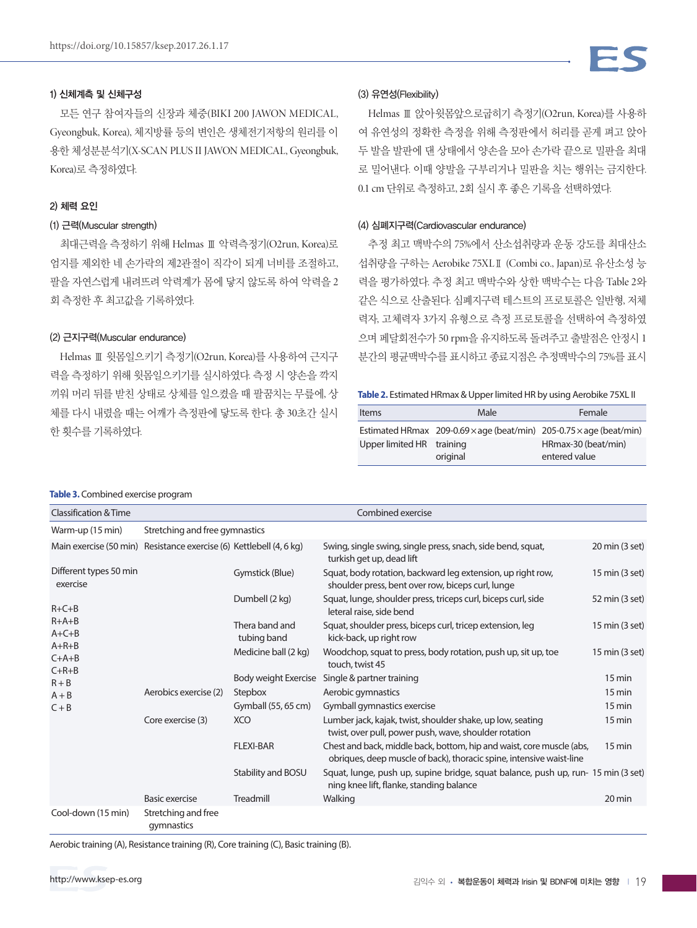#### 1) 신체계측 및 신체구성

모든 연구 참여자들의 신장과 체중(BIKI 200 JAWON MEDICAL, Gyeongbuk, Korea), 체지방률 등의 변인은 생체전기저항의 원리를 이 용한 체성분분석기(X-SCAN PLUS II JAWON MEDICAL, Gyeongbuk, Korea)로 측정하였다.

#### 2) 체력 요인

#### (1) 근력(Muscular strength)

최대근력을 측정하기 위해 Helmas Ⅲ 악력측정기(O2run, Korea)로 엄지를 제외한 네 손가락의 제2관절이 직각이 되게 너비를 조절하고, 팔을 자연스럽게 내려뜨려 악력계가 몸에 닿지 않도록 하여 악력을 2 회 측정한 후 최고값을 기록하였다.

#### (2) 근지구력(Muscular endurance)

Helmas Ⅲ 윗몸일으키기 측정기(O2run, Korea)를 사용하여 근지구 력을 측정하기 위해 윗몸일으키기를 실시하였다. 측정 시 양손을 깍지 끼워 머리 뒤를 받친 상태로 상체를 일으켰을 때 팔꿈치는 무릎에, 상 체를 다시 내렸을 때는 어깨가 측정판에 닿도록 한다. 총 30초간 실시 한 횟수를 기록하였다.

#### (3) 유연성(Flexibility)

Helmas Ⅲ 앉아윗몸앞으로굽히기 측정기(O2run, Korea)를 사용하 여 유연성의 정확한 측정을 위해 측정판에서 허리를 곧게 펴고 앉아 두 발을 발판에 댄 상태에서 양손을 모아 손가락 끝으로 밀판을 최대 로 밀어낸다. 이때 양발을 구부리거나 밀판을 치는 행위는 금지한다. 0.1 cm 단위로 측정하고, 2회 실시 후 좋은 기록을 선택하였다.

#### (4) 심폐지구력(Cardiovascular endurance)

추정 최고 맥박수의 75%에서 산소섭취량과 운동 강도를 최대산소 섭취량을 구하는 Aerobike 75XLⅡ (Combi co., Japan)로 유산소성 능 력을 평가하였다. 추정 최고 맥박수와 상한 맥박수는 다음 Table 2와 같은 식으로 산출된다. 심폐지구력 테스트의 프로토콜은 일반형, 저체 력자, 고체력자 3가지 유형으로 측정 프로토콜을 선택하여 측정하였 으며 페달회전수가 50 rpm을 유지하도록 돌려주고 출발점은 안정시 1 분간의 평균맥박수를 표시하고 종료지점은 추정맥박수의 75%를 표시

**Table 2.** Estimated HRmax & Upper limited HR by using Aerobike 75XL II

| <b>Items</b>              | Male                                                                              | Female              |
|---------------------------|-----------------------------------------------------------------------------------|---------------------|
|                           | Estimated HRmax 209-0.69 $\times$ age (beat/min) 205-0.75 $\times$ age (beat/min) |                     |
| Upper limited HR training |                                                                                   | HRmax-30 (beat/min) |
|                           | original                                                                          | entered value       |

#### **Table 3.** Combined exercise program

| Classification & Time                                               |                                   |                               | Combined exercise                                                                                                                             |                  |
|---------------------------------------------------------------------|-----------------------------------|-------------------------------|-----------------------------------------------------------------------------------------------------------------------------------------------|------------------|
| Warm-up (15 min)                                                    | Stretching and free gymnastics    |                               |                                                                                                                                               |                  |
| Main exercise (50 min) Resistance exercise (6) Kettlebell (4, 6 kg) |                                   |                               | Swing, single swing, single press, snach, side bend, squat,<br>turkish get up, dead lift                                                      | 20 min (3 set)   |
| Different types 50 min<br>exercise                                  |                                   | Gymstick (Blue)               | Squat, body rotation, backward leg extension, up right row,<br>shoulder press, bent over row, biceps curl, lunge                              | 15 min (3 set)   |
| $R + C + B$<br>$R+A+B$<br>$A + C + B$<br>$A+R+B$<br>$C+A+B$         |                                   | Dumbell (2 kg)                | Squat, lunge, shoulder press, triceps curl, biceps curl, side<br>leteral raise, side bend                                                     | 52 min (3 set)   |
|                                                                     |                                   | Thera band and<br>tubing band | Squat, shoulder press, biceps curl, tricep extension, leg<br>kick-back, up right row                                                          | 15 min (3 set)   |
|                                                                     |                                   | Medicine ball (2 kg)          | Woodchop, squat to press, body rotation, push up, sit up, toe<br>touch, twist 45                                                              | 15 min (3 set)   |
| $C+R+B$<br>$R + B$                                                  |                                   | Body weight Exercise          | Single & partner training                                                                                                                     | 15 min           |
| $A + B$<br>$C + B$<br>Core exercise (3)                             | Aerobics exercise (2)             | Stepbox                       | Aerobic gymnastics                                                                                                                            | 15 min           |
|                                                                     |                                   | Gymball (55, 65 cm)           | Gymball gymnastics exercise                                                                                                                   | 15 min           |
|                                                                     |                                   | <b>XCO</b>                    | Lumber jack, kajak, twist, shoulder shake, up low, seating<br>twist, over pull, power push, wave, shoulder rotation                           | 15 min           |
|                                                                     |                                   | <b>FLEXI-BAR</b>              | Chest and back, middle back, bottom, hip and waist, core muscle (abs,<br>obriques, deep muscle of back), thoracic spine, intensive waist-line | $15 \text{ min}$ |
|                                                                     |                                   | Stability and BOSU            | Squat, lunge, push up, supine bridge, squat balance, push up, run- 15 min (3 set)<br>ning knee lift, flanke, standing balance                 |                  |
|                                                                     | Basic exercise                    | Treadmill                     | Walking                                                                                                                                       | 20 min           |
| Cool-down (15 min)                                                  | Stretching and free<br>gymnastics |                               |                                                                                                                                               |                  |

Aerobic training (A), Resistance training (R), Core training (C), Basic training (B).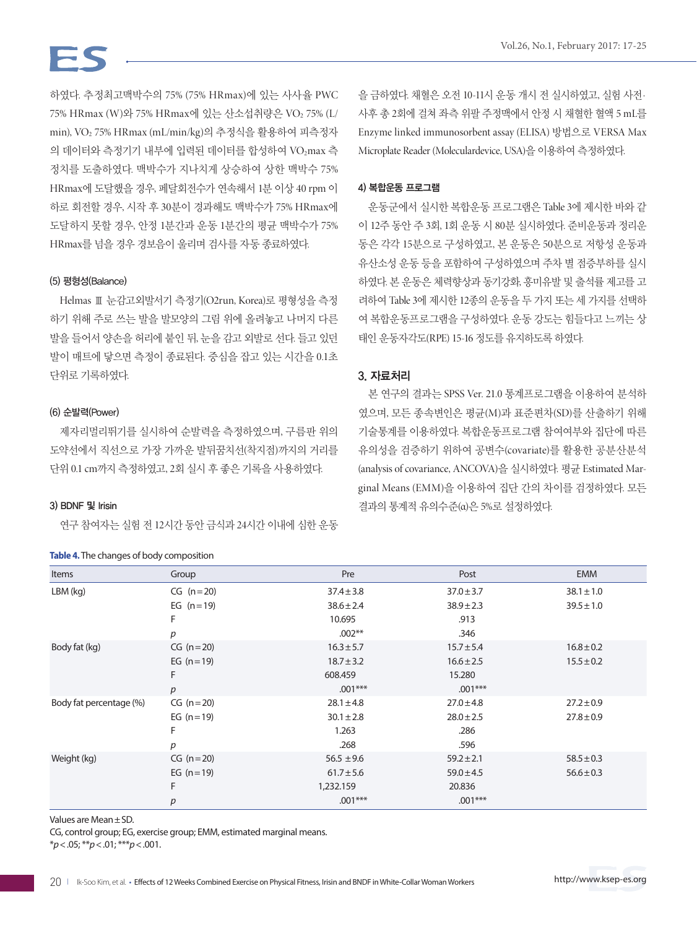하였다. 추정최고맥박수의 75% (75% HRmax)에 있는 사사율 PWC 75% HRmax (W)와 75% HRmax에 있는 산소섭취량은 VO2 75% (L/ min), VO2 75% HRmax (mL/min/kg)의 추정식을 활용하여 피측정자 의 데이터와 측정기기 내부에 입력된 데이터를 합성하여 VO<sub>2</sub>max 측 정치를 도출하였다. 맥박수가 지나치게 상승하여 상한 맥박수 75% HRmax에 도달했을 경우, 페달회전수가 연속해서 1분 이상 40 rpm 이 하로 회전할 경우, 시작 후 30분이 경과해도 맥박수가 75% HRmax에 도달하지 못할 경우, 안정 1분간과 운동 1분간의 평균 맥박수가 75% HRmax를 넘을 경우 경보음이 울리며 검사를 자동 종료하였다.

#### (5) 평형성(Balance)

Helmas Ⅲ 눈감고외발서기 측정기(O2run, Korea)로 평형성을 측정 하기 위해 주로 쓰는 발을 발모양의 그림 위에 올려놓고 나머지 다른 발을 들어서 양손을 허리에 붙인 뒤, 눈을 감고 외발로 선다. 들고 있던 발이 매트에 닿으면 측정이 종료된다. 중심을 잡고 있는 시간을 0.1초 단위로 기록하였다.

#### (6) 순발력(Power)

제자리멀리뛰기를 실시하여 순발력을 측정하였으며, 구름판 위의 도약선에서 직선으로 가장 가까운 발뒤꿈치선(착지점)까지의 거리를 단위 0.1 cm까지 측정하였고, 2회 실시 후 좋은 기록을 사용하였다.

#### 3) BDNF 및 Irisin

연구 참여자는 실험 전 12시간 동안 금식과 24시간 이내에 심한 운동

#### **Table 4.** The changes of body composition

을 금하였다. 채혈은 오전 10-11시 운동 개시 전 실시하였고, 실험 사전· 사후 총 2회에 걸쳐 좌측 위팔 주정맥에서 안정 시 채혈한 혈액 5 mL를 Enzyme linked immunosorbent assay (ELISA) 방법으로 VERSA Max Microplate Reader (Moleculardevice, USA)을 이용하여 측정하였다.

#### 4) 복합운동 프로그램

운동군에서 실시한 복합운동 프로그램은 Table 3에 제시한 바와 같 이 12주 동안 주 3회, 1회 운동 시 80분 실시하였다. 준비운동과 정리운 동은 각각 15분으로 구성하였고, 본 운동은 50분으로 저항성 운동과 유산소성 운동 등을 포함하여 구성하였으며 주차 별 점증부하를 실시 하였다. 본 운동은 체력향상과 동기강화, 흥미유발 및 출석률 제고를 고 려하여 Table 3에 제시한 12종의 운동을 두 가지 또는 세 가지를 선택하 여 복합운동프로그램을 구성하였다. 운동 강도는 힘들다고 느끼는 상 태인 운동자각도(RPE) 15-16 정도를 유지하도록 하였다.

#### 3. 자료처리

본 연구의 결과는 SPSS Ver. 21.0 통계프로그램을 이용하여 분석하 였으며, 모든 종속변인은 평균(M)과 표준편차(SD)를 산출하기 위해 기술통계를 이용하였다. 복합운동프로그램 참여여부와 집단에 따른 유의성을 검증하기 위하여 공변수(covariate)를 활용한 공분산분석 (analysis of covariance, ANCOVA)을 실시하였다. 평균 Estimated Marginal Means (EMM)을 이용하여 집단 간의 차이를 검정하였다. 모든 결과의 통계적 유의수준(α)은 5%로 설정하였다.

| Items                   | Group            | Pre            | Post           | <b>EMM</b>     |
|-------------------------|------------------|----------------|----------------|----------------|
| $LBM$ (kg)              | $CG (n=20)$      | $37.4 \pm 3.8$ | $37.0 \pm 3.7$ | $38.1 \pm 1.0$ |
|                         | EG $(n=19)$      | $38.6 \pm 2.4$ | $38.9 \pm 2.3$ | $39.5 \pm 1.0$ |
|                         | F                | 10.695         | .913           |                |
|                         | p                | $.002**$       | .346           |                |
| Body fat (kg)           | $CG (n=20)$      | $16.3 \pm 5.7$ | $15.7 \pm 5.4$ | $16.8 \pm 0.2$ |
|                         | EG $(n=19)$      | $18.7 \pm 3.2$ | $16.6 \pm 2.5$ | $15.5 \pm 0.2$ |
|                         | F                | 608.459        | 15.280         |                |
|                         | $\boldsymbol{p}$ | $.001***$      | $.001***$      |                |
| Body fat percentage (%) | $CG (n=20)$      | $28.1 \pm 4.8$ | $27.0 \pm 4.8$ | $27.2 \pm 0.9$ |
|                         | EG $(n=19)$      | $30.1 \pm 2.8$ | $28.0 \pm 2.5$ | $27.8 \pm 0.9$ |
|                         | F                | 1.263          | .286           |                |
|                         | р                | .268           | .596           |                |
| Weight (kg)             | $CG (n=20)$      | $56.5 \pm 9.6$ | $59.2 \pm 2.1$ | $58.5 \pm 0.3$ |
|                         | EG $(n=19)$      | $61.7 \pm 5.6$ | $59.0 \pm 4.5$ | $56.6 \pm 0.3$ |
|                         | F                | 1,232.159      | 20.836         |                |
|                         | р                | $.001***$      | $.001***$      |                |

Values are Mean±SD.

CG, control group; EG, exercise group; EMM, estimated marginal means.

\**p*<.05; \*\**p*<.01; \*\*\**p*<.001.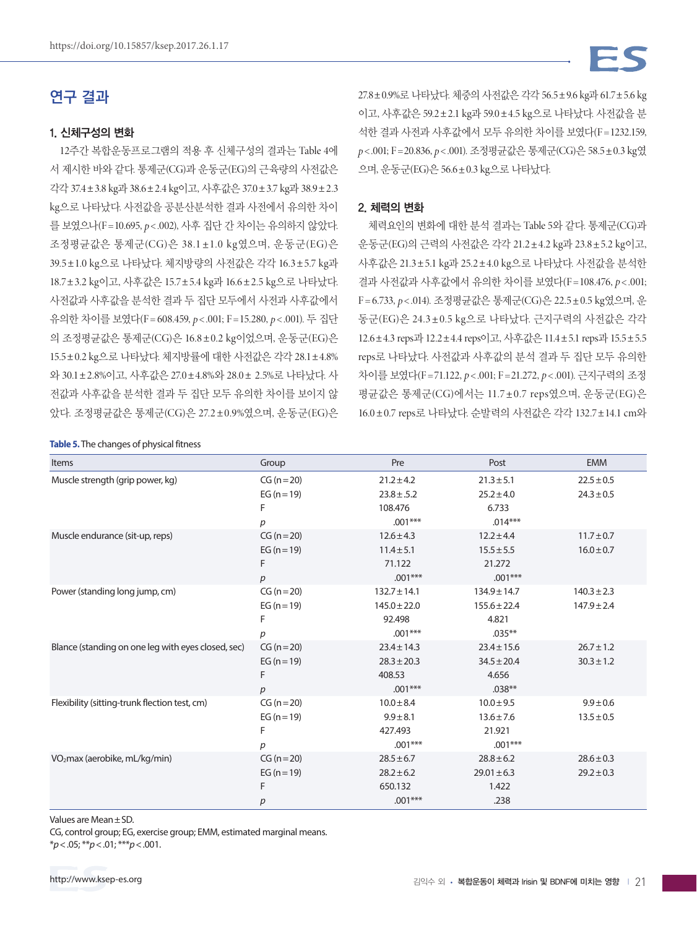# 연구 결과

#### 1. 신체구성의 변화

12주간 복합운동프로그램의 적용 후 신체구성의 결과는 Table 4에 서 제시한 바와 같다. 통제군(CG)과 운동군(EG)의 근육량의 사전값은 각각 37.4±3.8 kg과 38.6±2.4 kg이고, 사후값은 37.0±3.7 kg과 38.9±2.3 kg으로 나타났다. 사전값을 공분산분석한 결과 사전에서 유의한 차이 를 보였으나(F =10.695, *p*< .002), 사후 집단 간 차이는 유의하지 않았다. 조정평균값은 통제군(CG)은 38.1 ±1.0 kg였으며, 운동군(EG)은 39.5±1.0 kg으로 나타났다. 체지방량의 사전값은 각각 16.3±5.7 kg과 18.7±3.2 kg이고, 사후값은 15.7±5.4 kg과 16.6±2.5 kg으로 나타났다. 사전값과 사후값을 분석한 결과 두 집단 모두에서 사전과 사후값에서 유의한 차이를 보였다(F = 608.459, *p*< .001; F =15.280, *p*< .001). 두 집단 의 조정평균값은 통제군(CG)은 16.8±0.2 kg이었으며, 운동군(EG)은 15.5±0.2 kg으로 나타났다. 체지방률에 대한 사전값은 각각 28.1±4.8% 와 30.1±2.8%이고, 사후값은 27.0±4.8%와 28.0± 2.5%로 나타났다. 사 전값과 사후값을 분석한 결과 두 집단 모두 유의한 차이를 보이지 않 았다. 조정평균값은 통제군(CG)은 27.2±0.9%였으며, 운동군(EG)은

#### **Table 5.** The changes of physical fitness

27.8±0.9%로 나타났다. 체중의 사전값은 각각 56.5±9.6 kg과 61.7±5.6 kg 이고, 사후값은 59.2±2.1 kg과 59.0±4.5 kg으로 나타났다. 사전값을 분 석한 결과 사전과 사후값에서 모두 유의한 차이를 보였다(F=1232.159, *p*< .001; F =20.836, *p*< .001). 조정평균값은 통제군(CG)은 58.5±0.3 kg였 으며, 운동군(EG)은 56.6±0.3 kg으로 나타났다.

#### 2. 체력의 변화

체력요인의 변화에 대한 분석 결과는 Table 5와 같다. 통제군(CG)과 운동군(EG)의 근력의 사전값은 각각 21.2±4.2 kg과 23.8±5.2 kg이고, 사후값은 21.3±5.1 kg과 25.2±4.0 kg으로 나타났다. 사전값을 분석한 결과 사전값과 사후값에서 유의한 차이를 보였다(F =108.476, *p*< .001; F = 6.733, *p*< .014). 조정평균값은 통제군(CG)은 22.5±0.5 kg였으며, 운 동군(EG)은 24.3±0.5 kg으로 나타났다. 근지구력의 사전값은 각각 12.6±4.3 reps과 12.2±4.4 reps이고, 사후값은 11.4±5.1 reps과 15.5±5.5 reps로 나타났다. 사전값과 사후값의 분석 결과 두 집단 모두 유의한 차이를 보였다(F =71.122, *p*< .001; F =21.272, *p*< .001). 근지구력의 조정 평균값은 통제군(CG)에서는 11.7±0.7 reps였으며, 운동군(EG)은 16.0±0.7 reps로 나타났다. 순발력의 사전값은 각각 132.7±14.1 cm와

| Items                                              | Group            | Pre              | Post             | <b>EMM</b>      |
|----------------------------------------------------|------------------|------------------|------------------|-----------------|
| Muscle strength (grip power, kg)                   | $CG (n = 20)$    | $21.2 \pm 4.2$   | $21.3 \pm 5.1$   | $22.5 \pm 0.5$  |
|                                                    | EG $(n = 19)$    | $23.8 \pm .5.2$  | $25.2 \pm 4.0$   | $24.3 \pm 0.5$  |
|                                                    | F                | 108.476          | 6.733            |                 |
|                                                    | p                | $.001***$        | $.014***$        |                 |
| Muscle endurance (sit-up, reps)                    | $CG (n = 20)$    | $12.6 \pm 4.3$   | $12.2 \pm 4.4$   | $11.7 \pm 0.7$  |
|                                                    | EG $(n = 19)$    | $11.4 \pm 5.1$   | $15.5 \pm 5.5$   | $16.0 \pm 0.7$  |
|                                                    | F                | 71.122           | 21.272           |                 |
|                                                    | $\boldsymbol{p}$ | $.001***$        | $.001***$        |                 |
| Power (standing long jump, cm)                     | $CG (n = 20)$    | $132.7 \pm 14.1$ | $134.9 \pm 14.7$ | $140.3 \pm 2.3$ |
|                                                    | EG $(n = 19)$    | $145.0 \pm 22.0$ | $155.6 \pm 22.4$ | $147.9 \pm 2.4$ |
|                                                    | F                | 92.498           | 4.821            |                 |
|                                                    | р                | $.001***$        | $.035***$        |                 |
| Blance (standing on one leg with eyes closed, sec) | $CG (n = 20)$    | $23.4 \pm 14.3$  | $23.4 \pm 15.6$  | $26.7 \pm 1.2$  |
|                                                    | EG $(n = 19)$    | $28.3 \pm 20.3$  | $34.5 \pm 20.4$  | $30.3 \pm 1.2$  |
|                                                    | F                | 408.53           | 4.656            |                 |
|                                                    | $\boldsymbol{D}$ | $.001***$        | $.038**$         |                 |
| Flexibility (sitting-trunk flection test, cm)      | $CG (n = 20)$    | $10.0 \pm 8.4$   | $10.0 \pm 9.5$   | $9.9 \pm 0.6$   |
|                                                    | EG $(n = 19)$    | $9.9 \pm 8.1$    | $13.6 \pm 7.6$   | $13.5 \pm 0.5$  |
|                                                    | F                | 427.493          | 21.921           |                 |
|                                                    | p                | $.001***$        | $.001***$        |                 |
| VO <sub>2</sub> max (aerobike, mL/kg/min)          | $CG (n = 20)$    | $28.5 \pm 6.7$   | $28.8 \pm 6.2$   | $28.6 \pm 0.3$  |
|                                                    | EG $(n = 19)$    | $28.2 \pm 6.2$   | $29.01 \pm 6.3$  | $29.2 \pm 0.3$  |
|                                                    | F                | 650.132          | 1.422            |                 |
|                                                    | p                | $.001***$        | .238             |                 |

Values are Mean±SD.

CG, control group; EG, exercise group; EMM, estimated marginal means.

\**p*<.05; \*\**p*<.01; \*\*\**p*<.001.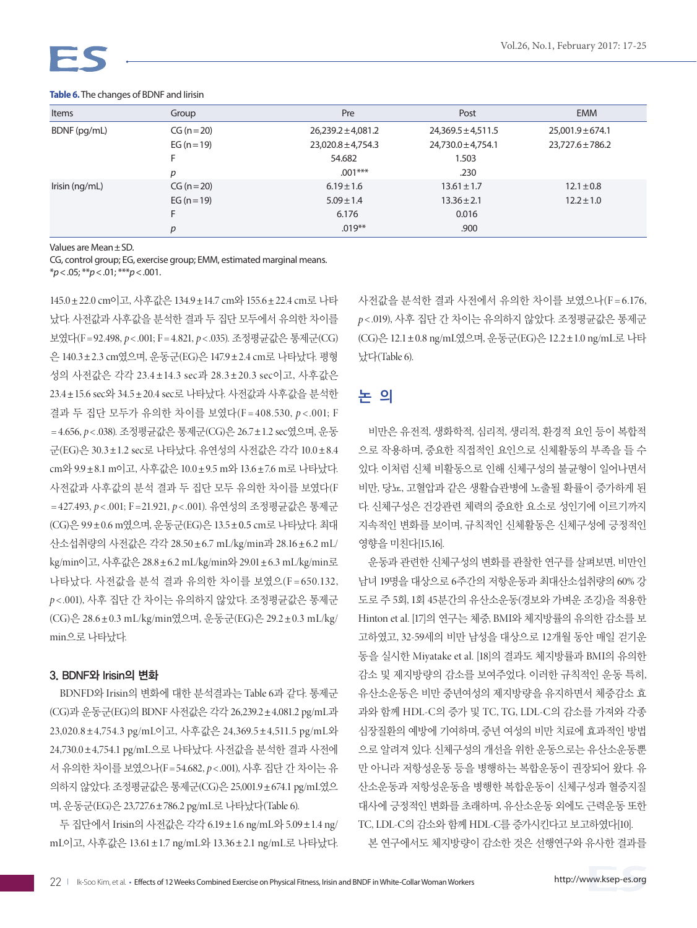

| Items          | Group           | Pre                    | Post                   | <b>EMM</b>           |
|----------------|-----------------|------------------------|------------------------|----------------------|
| BDNF (pg/mL)   | $CG (n = 20)$   | $26,239.2 \pm 4,081.2$ | $24,369.5 \pm 4,511.5$ | $25,001.9 \pm 674.1$ |
|                | EG ( $n = 19$ ) | $23,020.8 \pm 4,754.3$ | $24,730.0 \pm 4,754.1$ | $23,727.6 \pm 786.2$ |
|                |                 | 54.682                 | 1.503                  |                      |
|                | D               | $.001***$              | .230                   |                      |
| Irisin (ng/mL) | $CG (n = 20)$   | $6.19 \pm 1.6$         | $13.61 \pm 1.7$        | $12.1 \pm 0.8$       |
|                | EG $(n=19)$     | $5.09 \pm 1.4$         | $13.36 \pm 2.1$        | $12.2 \pm 1.0$       |
|                | F               | 6.176                  | 0.016                  |                      |
|                | р               | $.019**$               | .900                   |                      |

#### **Table 6.** The changes of BDNF and Iirisin

Values are Mean±SD.

CG, control group; EG, exercise group; EMM, estimated marginal means.

\**p*<.05; \*\**p*<.01; \*\*\**p*<.001.

145.0±22.0 cm이고, 사후값은 134.9±14.7 cm와 155.6±22.4 cm로 나타 났다. 사전값과 사후값을 분석한 결과 두 집단 모두에서 유의한 차이를 보였다(F = 92.498, *p*< .001; F = 4.821, *p*< .035). 조정평균값은 통제군(CG) 은 140.3±2.3 cm였으며, 운동군(EG)은 147.9±2.4 cm로 나타났다. 평형 성의 사전값은 각각 23.4 ±14.3 sec과 28.3±20.3 sec이고, 사후값은 23.4±15.6 sec와 34.5±20.4 sec로 나타났다. 사전값과 사후값을 분석한 결과 두 집단 모두가 유의한 차이를 보였다(F = 408.530, *p* < .001; F = 4.656, *p*< .038). 조정평균값은 통제군(CG)은 26.7±1.2 sec였으며, 운동 군(EG)은 30.3±1.2 sec로 나타났다. 유연성의 사전값은 각각 10.0±8.4 cm와 9.9±8.1 m이고, 사후값은 10.0±9.5 m와 13.6±7.6 m로 나타났다. 사전값과 사후값의 분석 결과 두 집단 모두 유의한 차이를 보였다(F = 427.493, *p* < .001; F =21.921, *p* < .001). 유연성의 조정평균값은 통제군 (CG)은 9.9±0.6 m였으며, 운동군(EG)은 13.5±0.5 cm로 나타났다. 최대 산소섭취량의 사전값은 각각 28.50±6.7 mL/kg/min과 28.16±6.2 mL/ kg/min이고, 사후값은 28.8±6.2 mL/kg/min와 29.01±6.3 mL/kg/min로 나타났다. 사전값을 부석 결과 유의한 차이를 보였으(F = 650.132, *p* < .001), 사후 집단 간 차이는 유의하지 않았다. 조정평균값은 통제군 (CG)은 28.6±0.3 mL/kg/min였으며, 운동군(EG)은 29.2±0.3 mL/kg/ min으로 나타났다.

#### 3. BDNF와 Irisin의 변화

BDNFD와 Irisin의 변화에 대한 분석결과는 Table 6과 같다. 통제군 (CG)과 운동군(EG)의 BDNF 사전값은 각각 26,239.2±4,081.2 pg/mL과 23,020.8±4,754.3 pg/mL이고, 사후값은 24,369.5±4,511.5 pg/mL와 24,730.0±4,754.1 pg/mL으로 나타났다. 사전값을 분석한 결과 사전에 서 유의한 차이를 보였으나(F =54.682, *p*< .001), 사후 집단 간 차이는 유 의하지 않았다. 조정평균값은 통제군(CG)은 25,001.9±674.1 pg/mL였으 며, 운동군(EG)은 23,727.6±786.2 pg/mL로 나타났다(Table 6).

두 집단에서 Irisin의 사전값은 각각 6.19±1.6 ng/mL와 5.09±1.4 ng/ mL이고, 사후값은 13.61±1.7 ng/mL와 13.36±2.1 ng/mL로 나타났다. 사전값을 부석한 결과 사전에서 유의한 차이를 보였으나(F = 6.176, *p*< .019), 사후 집단 간 차이는 유의하지 않았다. 조정평균값은 통제군 (CG)은 12.1±0.8 ng/mL였으며, 운동군(EG)은 12.2±1.0 ng/mL로 나타 났다(Table 6).

### 논 의

비만은 유전적, 생화학적, 심리적, 생리적, 환경적 요인 등이 복합적 으로 작용하며, 중요한 직접적인 요인으로 신체활동의 부족을 들 수 있다. 이처럼 신체 비활동으로 인해 신체구성의 불균형이 일어나면서 비만, 당뇨, 고혈압과 같은 생활습관병에 노출될 확률이 증가하게 된 다. 신체구성은 건강관련 체력의 중요한 요소로 성인기에 이르기까지 지속적인 변화를 보이며, 규칙적인 신체활동은 신체구성에 긍정적인 영향을 미친다[15,16].

운동과 관련한 신체구성의 변화를 관찰한 연구를 살펴보면, 비만인 남녀 19명을 대상으로 6주간의 저항운동과 최대산소섭취량의 60% 강 도로 주 5회, 1회 45분간의 유산소운동(경보와 가벼운 조깅)을 적용한 Hinton et al. [17]의 연구는 체중, BMI와 체지방률의 유의한 감소를 보 고하였고, 32-59세의 비만 남성을 대상으로 12개월 동안 매일 걷기운 동을 실시한 Miyatake et al. [18]의 결과도 체지방률과 BMI의 유의한 감소 및 제지방량의 감소를 보여주었다. 이러한 규칙적인 운동 특히, 유산소운동은 비만 중년여성의 제지방량을 유지하면서 체중감소 효 과와 함께 HDL-C의 증가 및 TC, TG, LDL-C의 감소를 가져와 각종 심장질환의 예방에 기여하며, 중년 여성의 비만 치료에 효과적인 방법 으로 알려져 있다. 신체구성의 개선을 위한 운동으로는 유산소운동뿐 만 아니라 저항성운동 등을 병행하는 복합운동이 권장되어 왔다. 유 산소운동과 저항성운동을 병행한 복합운동이 신체구성과 혈중지질 대사에 긍정적인 변화를 초래하며, 유산소운동 외에도 근력운동 또한 TC, LDL-C의 감소와 함께 HDL-C를 증가시킨다고 보고하였다[10].

본 연구에서도 체지방량이 감소한 것은 선행연구와 유사한 결과를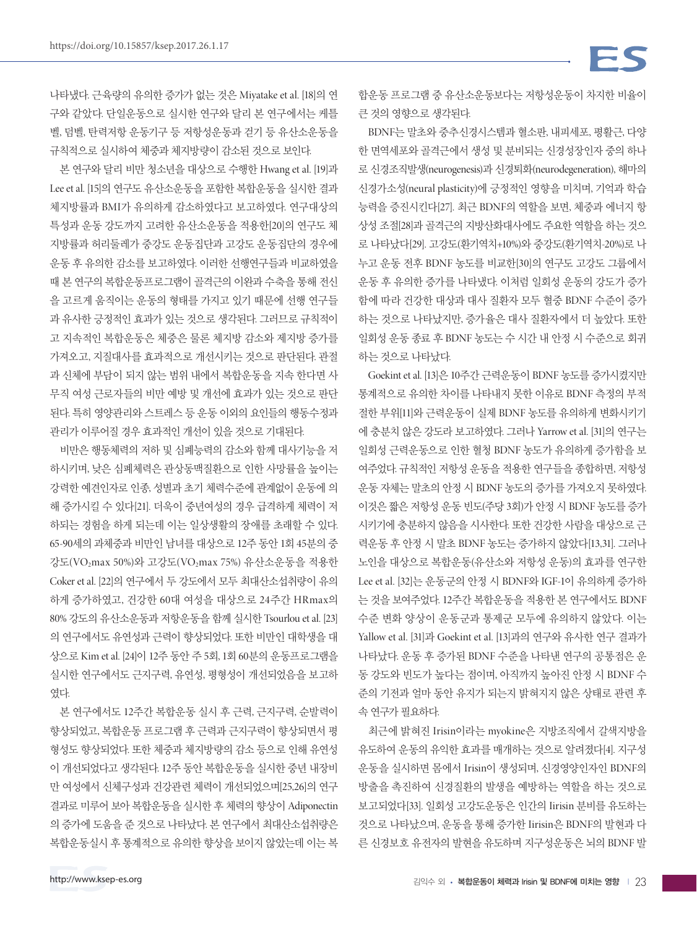나타냈다. 근육량의 유의한 증가가 없는 것은 Miyatake et al. [18]의 연 구와 같았다. 단일운동으로 실시한 연구와 달리 본 연구에서는 케틀 벨, 덤벨, 탄력저항 운동기구 등 저항성운동과 걷기 등 유산소운동을 규칙적으로 실시하여 체중과 체지방량이 감소된 것으로 보인다.

본 연구와 달리 비만 청소년을 대상으로 수행한 Hwang et al. [19]과 Lee et al. [15]의 연구도 유산소운동을 포함한 복합운동을 실시한 결과 체지방률과 BMI가 유의하게 감소하였다고 보고하였다. 연구대상의 특성과 운동 강도까지 고려한 유산소운동을 적용한[20]의 연구도 체 지방률과 허리둘레가 중강도 운동집단과 고강도 운동집단의 경우에 운동 후 유의한 감소를 보고하였다. 이러한 선행연구들과 비교하였을 때 본 연구의 복합운동프로그램이 골격근의 이완과 수축을 통해 전신 을 고르게 움직이는 운동의 형태를 가지고 있기 때문에 선행 연구들 과 유사한 긍정적인 효과가 있는 것으로 생각된다. 그러므로 규칙적이 고 지속적인 복합운동은 체중은 물론 체지방 감소와 제지방 증가를 가져오고, 지질대사를 효과적으로 개선시키는 것으로 판단된다. 관절 과 신체에 부담이 되지 않는 범위 내에서 복합운동을 지속 한다면 사 무직 여성 근로자들의 비만 예방 및 개선에 효과가 있는 것으로 판단 된다. 특히 영양관리와 스트레스 등 운동 이외의 요인들의 행동수정과 관리가 이루어질 경우 효과적인 개선이 있을 것으로 기대된다.

비만은 행동체력의 저하 및 심폐능력의 감소와 함께 대사기능을 저 하시키며, 낮은 심폐체력은 관상동맥질환으로 인한 사망률을 높이는 강력한 예견인자로 인종, 성별과 초기 체력수준에 관계없이 운동에 의 해 증가시킬 수 있다[21]. 더욱이 중년여성의 경우 급격하게 체력이 저 하되는 경험을 하게 되는데 이는 일상생활의 장애를 초래할 수 있다. 65-90세의 과체중과 비만인 남녀를 대상으로 12주 동안 1회 45분의 중 강도(VO2max 50%)와 고강도(VO2max 75%) 유산소운동을 적용한 Coker et al. [22]의 연구에서 두 강도에서 모두 최대산소섭취량이 유의 하게 증가하였고, 건강한 60대 여성을 대상으로 24주간 HRmax의 80% 강도의 유산소운동과 저항운동을 함께 실시한 Tsourlou et al. [23] 의 연구에서도 유연성과 근력이 향상되었다. 또한 비만인 대학생을 대 상으로 Kim et al. [24]이 12주 동안 주 5회, 1회 60분의 운동프로그램을 실시한 연구에서도 근지구력, 유연성, 평형성이 개선되었음을 보고하 였다.

본 연구에서도 12주간 복합운동 실시 후 근력, 근지구력, 순발력이 향상되었고, 복합운동 프로그램 후 근력과 근지구력이 향상되면서 평 형성도 향상되었다. 또한 체중과 체지방량의 감소 등으로 인해 유연성 이 개선되었다고 생각된다. 12주 동안 복합운동을 실시한 중년 내장비 만 여성에서 신체구성과 건강관련 체력이 개선되었으며[25,26]의 연구 결과로 미루어 보아 복합운동을 실시한 후 체력의 향상이 Adiponectin 의 증가에 도움을 준 것으로 나타났다. 본 연구에서 최대산소섭취량은 복합운동실시 후 통계적으로 유의한 향상을 보이지 않았는데 이는 복 합운동 프로그램 중 유산소운동보다는 저항성운동이 차지한 비율이 큰 것의 영향으로 생각된다.

BDNF는 말초와 중추신경시스템과 혈소판, 내피세포, 평활근, 다양 한 면역세포와 골격근에서 생성 및 분비되는 신경성장인자 중의 하나 로 신경조직발생(neurogenesis)과 신경퇴화(neurodegeneration), 해마의 신경가소성(neural plasticity)에 긍정적인 영향을 미치며, 기억과 학습 능력을 증진시킨다[27]. 최근 BDNF의 역할을 보면, 체중과 에너지 항 상성 조절[28]과 골격근의 지방산화대사에도 주요한 역할을 하는 것으 로 나타났다[29]. 고강도(환기역치+10%)와 중강도(환기역치-20%)로 나 누고 운동 전후 BDNF 농도를 비교한[30]의 연구도 고강도 그룹에서 운동 후 유의한 증가를 나타냈다. 이처럼 일회성 운동의 강도가 증가 함에 따라 건강한 대상과 대사 질환자 모두 혈중 BDNF 수준이 증가 하는 것으로 나타났지만, 증가율은 대사 질환자에서 더 높았다. 또한 일회성 운동 종료 후 BDNF 농도는 수 시간 내 안정 시 수준으로 회귀 하는 것으로 나타났다.

Goekint et al. [13]은 10주간 근력운동이 BDNF 농도를 증가시켰지만 통계적으로 유의한 차이를 나타내지 못한 이유로 BDNF 측정의 부적 절한 부위[11]와 근력운동이 실제 BDNF 농도를 유의하게 변화시키기 에 충분치 않은 강도라 보고하였다. 그러나 Yarrow et al. [31]의 연구는 일회성 근력운동으로 인한 혈청 BDNF 농도가 유의하게 증가함을 보 여주었다. 규칙적인 저항성 운동을 적용한 연구들을 종합하면, 저항성 운동 자체는 말초의 안정 시 BDNF 농도의 증가를 가져오지 못하였다. 이것은 짧은 저항성 운동 빈도(주당 3회)가 안정 시 BDNF 농도를 증가 시키기에 충분하지 않음을 시사한다. 또한 건강한 사람을 대상으로 근 력운동 후 안정 시 말초 BDNF 농도는 증가하지 않았다[13,31]. 그러나 노인을 대상으로 복합운동(유산소와 저항성 운동)의 효과를 연구한 Lee et al. [32]는 운동군의 안정 시 BDNF와 IGF-1이 유의하게 증가하 는 것을 보여주었다. 12주간 복합운동을 적용한 본 연구에서도 BDNF 수준 변화 양상이 운동군과 통제군 모두에 유의하지 않았다. 이는 Yallow et al. [31]과 Goekint et al. [13]과의 연구와 유사한 연구 결과가 나타났다. 운동 후 증가된 BDNF 수준을 나타낸 연구의 공통점은 운 동 강도와 빈도가 높다는 점이며, 아직까지 높아진 안정 시 BDNF 수 준의 기전과 얼마 동안 유지가 되는지 밝혀지지 않은 상태로 관련 후 속 연구가 필요하다.

최근에 밝혀진 Irisin이라는 myokine은 지방조직에서 갈색지방을 유도하여 운동의 유익한 효과를 매개하는 것으로 알려졌다[4]. 지구성 운동을 실시하면 몸에서 Irisin이 생성되며, 신경영양인자인 BDNF의 방출을 촉진하여 신경질환의 발생을 예방하는 역할을 하는 것으로 보고되었다[33]. 일회성 고강도운동은 인간의 Iirisin 분비를 유도하는 것으로 나타났으며, 운동을 통해 증가한 Iirisin은 BDNF의 발현과 다 른 신경보호 유전자의 발현을 유도하며 지구성운동은 뇌의 BDNF 발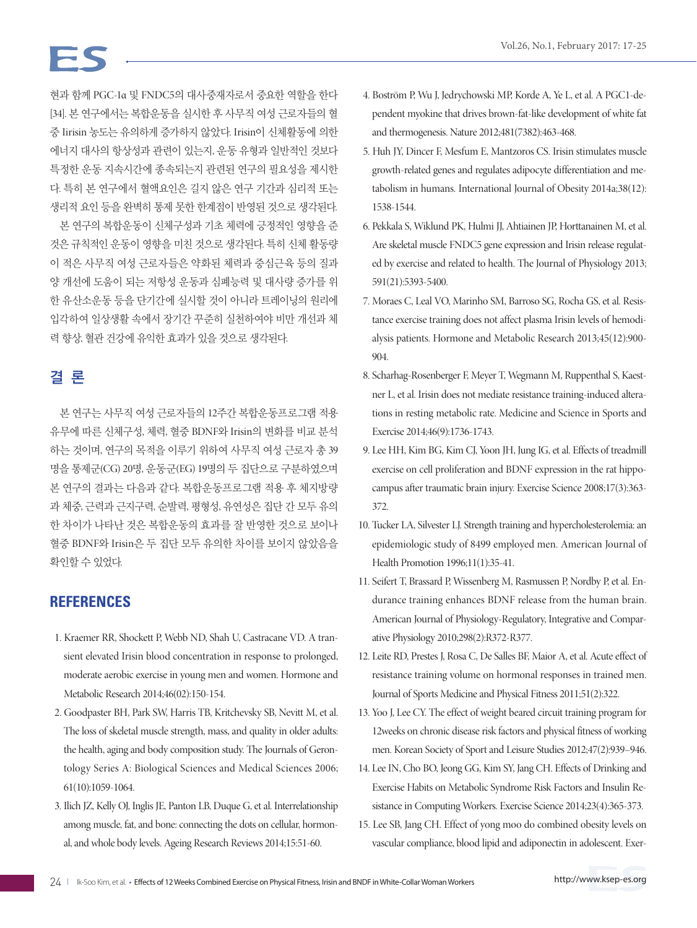현과 함께 PGC-1α 및 FNDC5의 대사중재자로서 중요한 역할을 한다 [34]. 본 연구에서는 복합운동을 실시한 후 사무직 여성 근로자들의 혈 중 Iirisin 농도는 유의하게 증가하지 않았다. Irisin이 신체활동에 의한 에너지 대사의 항상성과 관련이 있는지, 운동 유형과 일반적인 것보다 특정한 운동 지속시간에 종속되는지 관련된 연구의 필요성을 제시한 다. 특히 본 연구에서 혈액요인은 길지 않은 연구 기간과 심리적 또는 생리적 요인 등을 완벽히 통제 못한 한계점이 반영된 것으로 생각된다.

본 연구의 복합운동이 신체구성과 기초 체력에 긍정적인 영향을 준 것은 규칙적인 운동이 영향을 미친 것으로 생각된다. 특히 신체 활동량 이 적은 사무직 여성 근로자들은 약화된 체력과 중심근육 등의 질과 양 개선에 도움이 되는 저항성 운동과 심폐능력 및 대사량 증가를 위 한 유산소운동 등을 단기간에 실시할 것이 아니라 트레이닝의 원리에 입각하여 일상생활 속에서 장기간 꾸준히 실천하여야 비만 개선과 체 력 향상, 혈관 건강에 유익한 효과가 있을 것으로 생각된다.

# 결 론

본 연구는 사무직 여성 근로자들의 12주간 복합운동프로그램 적용 유무에 따른 신체구성, 체력, 혈중 BDNF와 Irisin의 변화를 비교 분석 하는 것이며, 연구의 목적을 이루기 위하여 사무직 여성 근로자 총 39 명을 통제군(CG) 20명, 운동군(EG) 19명의 두 집단으로 구분하였으며 본 연구의 결과는 다음과 같다. 복합운동프로그램 적용 후 체지방량 과 체중, 근력과 근지구력, 순발력, 평형성, 유연성은 집단 간 모두 유의 한 차이가 나타난 것은 복합운동의 효과를 잘 반영한 것으로 보이나 혈중 BDNF와 Irisin은 두 집단 모두 유의한 차이를 보이지 않았음을 확인할 수 있었다.

## **REFERENCES**

- 1. Kraemer RR, Shockett P, Webb ND, Shah U, Castracane VD. A transient elevated Irisin blood concentration in response to prolonged, moderate aerobic exercise in young men and women. Hormone and Metabolic Research 2014;46(02):150-154.
- 2. Goodpaster BH, Park SW, Harris TB, Kritchevsky SB, Nevitt M, et al. The loss of skeletal muscle strength, mass, and quality in older adults: the health, aging and body composition study. The Journals of Gerontology Series A: Biological Sciences and Medical Sciences 2006; 61(10):1059-1064.
- 3. Ilich JZ, Kelly OJ, Inglis JE, Panton LB, Duque G, et al. Interrelationship among muscle, fat, and bone: connecting the dots on cellular, hormonal, and whole body levels. Ageing Research Reviews 2014;15:51-60.
- 4. Boström P, Wu J, Jedrychowski MP, Korde A, Ye L, et al. A PGC1-dependent myokine that drives brown-fat-like development of white fat and thermogenesis. Nature 2012;481(7382):463-468.
- 5. Huh JY, Dincer F, Mesfum E, Mantzoros CS. Irisin stimulates muscle growth-related genes and regulates adipocyte differentiation and metabolism in humans. International Journal of Obesity 2014a;38(12): 1538-1544.
- 6. Pekkala S, Wiklund PK, Hulmi JJ, Ahtiainen JP, Horttanainen M, et al. Are skeletal muscle FNDC5 gene expression and Irisin release regulated by exercise and related to health. The Journal of Physiology 2013; 591(21):5393-5400.
- 7. Moraes C, Leal VO, Marinho SM, Barroso SG, Rocha GS, et al. Resistance exercise training does not affect plasma Irisin levels of hemodialysis patients. Hormone and Metabolic Research 2013;45(12):900- 904.
- 8. Scharhag-Rosenberger F, Meyer T, Wegmann M, Ruppenthal S, Kaestner L, et al. Irisin does not mediate resistance training-induced alterations in resting metabolic rate. Medicine and Science in Sports and Exercise 2014;46(9):1736-1743.
- 9. Lee HH, Kim BG, Kim CJ, Yoon JH, Jung IG, et al. Effects of treadmill exercise on cell proliferation and BDNF expression in the rat hippocampus after traumatic brain injury. Exercise Science 2008;17(3):363- 372.
- 10. Tucker LA, Silvester LJ. Strength training and hypercholesterolemia: an epidemiologic study of 8499 employed men. American Journal of Health Promotion 1996;11(1):35-41.
- 11. Seifert T, Brassard P, Wissenberg M, Rasmussen P, Nordby P, et al. Endurance training enhances BDNF release from the human brain. American Journal of Physiology-Regulatory, Integrative and Comparative Physiology 2010;298(2):R372-R377.
- 12. Leite RD, Prestes J, Rosa C, De Salles BF, Maior A, et al. Acute effect of resistance training volume on hormonal responses in trained men. Journal of Sports Medicine and Physical Fitness 2011;51(2):322.
- 13. Yoo J, Lee CY. The effect of weight beared circuit training program for 12weeks on chronic disease risk factors and physical fitness of working men. Korean Society of Sport and Leisure Studies 2012;47(2):939–946.
- 14. Lee IN, Cho BO, Jeong GG, Kim SY, Jang CH. Effects of Drinking and Exercise Habits on Metabolic Syndrome Risk Factors and Insulin Resistance in Computing Workers. Exercise Science 2014;23(4):365-373.
- 15. Lee SB, Jang CH. Effect of yong moo do combined obesity levels on vascular compliance, blood lipid and adiponectin in adolescent. Exer-